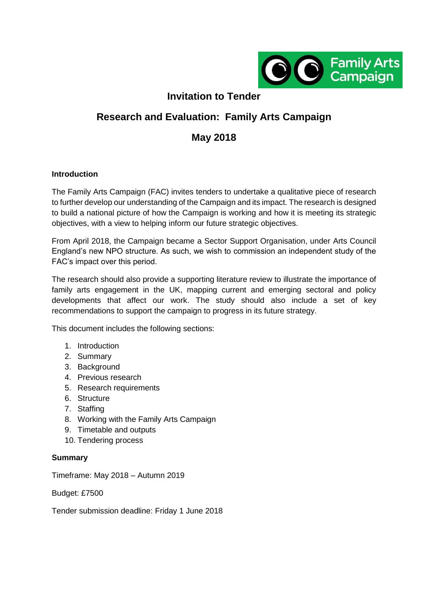

## **Invitation to Tender**

# **Research and Evaluation: Family Arts Campaign**

## **May 2018**

#### **Introduction**

The Family Arts Campaign (FAC) invites tenders to undertake a qualitative piece of research to further develop our understanding of the Campaign and its impact. The research is designed to build a national picture of how the Campaign is working and how it is meeting its strategic objectives, with a view to helping inform our future strategic objectives.

From April 2018, the Campaign became a Sector Support Organisation, under Arts Council England's new NPO structure. As such, we wish to commission an independent study of the FAC's impact over this period.

The research should also provide a supporting literature review to illustrate the importance of family arts engagement in the UK, mapping current and emerging sectoral and policy developments that affect our work. The study should also include a set of key recommendations to support the campaign to progress in its future strategy.

This document includes the following sections:

- 1. Introduction
- 2. Summary
- 3. Background
- 4. Previous research
- 5. Research requirements
- 6. Structure
- 7. Staffing
- 8. Working with the Family Arts Campaign
- 9. Timetable and outputs
- 10. Tendering process

#### **Summary**

Timeframe: May 2018 – Autumn 2019

Budget: £7500

Tender submission deadline: Friday 1 June 2018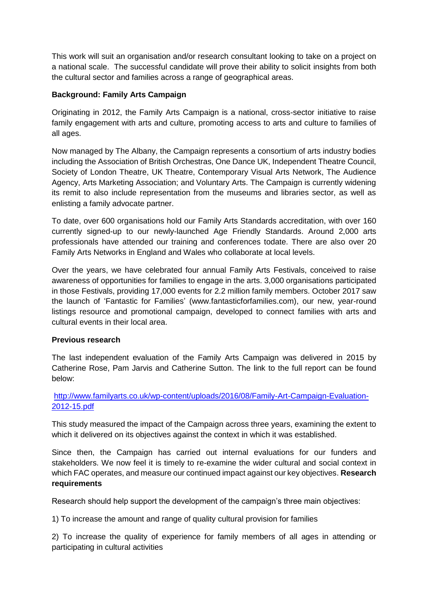This work will suit an organisation and/or research consultant looking to take on a project on a national scale. The successful candidate will prove their ability to solicit insights from both the cultural sector and families across a range of geographical areas.

#### **Background: Family Arts Campaign**

Originating in 2012, the Family Arts Campaign is a national, cross-sector initiative to raise family engagement with arts and culture, promoting access to arts and culture to families of all ages.

Now managed by The Albany, the Campaign represents a consortium of arts industry bodies including the Association of British Orchestras, One Dance UK, Independent Theatre Council, Society of London Theatre, UK Theatre, Contemporary Visual Arts Network, The Audience Agency, Arts Marketing Association; and Voluntary Arts. The Campaign is currently widening its remit to also include representation from the museums and libraries sector, as well as enlisting a family advocate partner.

To date, over 600 organisations hold our Family Arts Standards accreditation, with over 160 currently signed-up to our newly-launched Age Friendly Standards. Around 2,000 arts professionals have attended our training and conferences todate. There are also over 20 Family Arts Networks in England and Wales who collaborate at local levels.

Over the years, we have celebrated four annual Family Arts Festivals, conceived to raise awareness of opportunities for families to engage in the arts. 3,000 organisations participated in those Festivals, providing 17,000 events for 2.2 million family members. October 2017 saw the launch of 'Fantastic for Families' (www.fantasticforfamilies.com), our new, year-round listings resource and promotional campaign, developed to connect families with arts and cultural events in their local area.

## **Previous research**

The last independent evaluation of the Family Arts Campaign was delivered in 2015 by Catherine Rose, Pam Jarvis and Catherine Sutton. The link to the full report can be found below:

## [http://www.familyarts.co.uk/wp-content/uploads/2016/08/Family-Art-Campaign-Evaluation-](http://www.familyarts.co.uk/wp-content/uploads/2016/08/Family-Art-Campaign-Evaluation-2012-15.pdf)[2012-15.pdf](http://www.familyarts.co.uk/wp-content/uploads/2016/08/Family-Art-Campaign-Evaluation-2012-15.pdf)

This study measured the impact of the Campaign across three years, examining the extent to which it delivered on its objectives against the context in which it was established.

Since then, the Campaign has carried out internal evaluations for our funders and stakeholders. We now feel it is timely to re-examine the wider cultural and social context in which FAC operates, and measure our continued impact against our key objectives. **Research requirements** 

Research should help support the development of the campaign's three main objectives:

1) To increase the amount and range of quality cultural provision for families

2) To increase the quality of experience for family members of all ages in attending or participating in cultural activities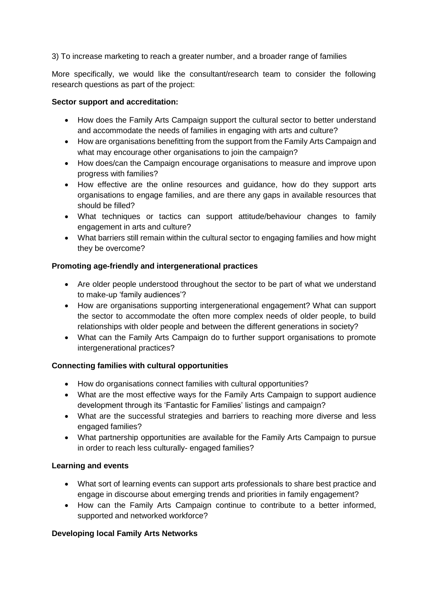3) To increase marketing to reach a greater number, and a broader range of families

More specifically, we would like the consultant/research team to consider the following research questions as part of the project:

#### **Sector support and accreditation:**

- How does the Family Arts Campaign support the cultural sector to better understand and accommodate the needs of families in engaging with arts and culture?
- How are organisations benefitting from the support from the Family Arts Campaign and what may encourage other organisations to join the campaign?
- How does/can the Campaign encourage organisations to measure and improve upon progress with families?
- How effective are the online resources and guidance, how do they support arts organisations to engage families, and are there any gaps in available resources that should be filled?
- What techniques or tactics can support attitude/behaviour changes to family engagement in arts and culture?
- What barriers still remain within the cultural sector to engaging families and how might they be overcome?

## **Promoting age-friendly and intergenerational practices**

- Are older people understood throughout the sector to be part of what we understand to make-up 'family audiences'?
- How are organisations supporting intergenerational engagement? What can support the sector to accommodate the often more complex needs of older people, to build relationships with older people and between the different generations in society?
- What can the Family Arts Campaign do to further support organisations to promote intergenerational practices?

## **Connecting families with cultural opportunities**

- How do organisations connect families with cultural opportunities?
- What are the most effective ways for the Family Arts Campaign to support audience development through its 'Fantastic for Families' listings and campaign?
- What are the successful strategies and barriers to reaching more diverse and less engaged families?
- What partnership opportunities are available for the Family Arts Campaign to pursue in order to reach less culturally- engaged families?

## **Learning and events**

- What sort of learning events can support arts professionals to share best practice and engage in discourse about emerging trends and priorities in family engagement?
- How can the Family Arts Campaign continue to contribute to a better informed, supported and networked workforce?

## **Developing local Family Arts Networks**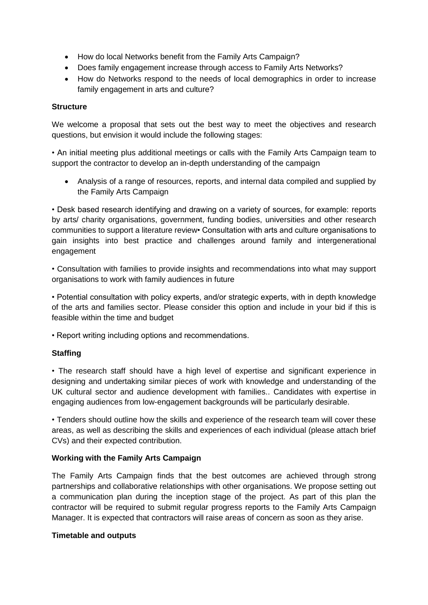- How do local Networks benefit from the Family Arts Campaign?
- Does family engagement increase through access to Family Arts Networks?
- How do Networks respond to the needs of local demographics in order to increase family engagement in arts and culture?

#### **Structure**

We welcome a proposal that sets out the best way to meet the objectives and research questions, but envision it would include the following stages:

• An initial meeting plus additional meetings or calls with the Family Arts Campaign team to support the contractor to develop an in-depth understanding of the campaign

 Analysis of a range of resources, reports, and internal data compiled and supplied by the Family Arts Campaign

• Desk based research identifying and drawing on a variety of sources, for example: reports by arts/ charity organisations, government, funding bodies, universities and other research communities to support a literature review• Consultation with arts and culture organisations to gain insights into best practice and challenges around family and intergenerational engagement

• Consultation with families to provide insights and recommendations into what may support organisations to work with family audiences in future

• Potential consultation with policy experts, and/or strategic experts, with in depth knowledge of the arts and families sector. Please consider this option and include in your bid if this is feasible within the time and budget

• Report writing including options and recommendations.

## **Staffing**

• The research staff should have a high level of expertise and significant experience in designing and undertaking similar pieces of work with knowledge and understanding of the UK cultural sector and audience development with families.. Candidates with expertise in engaging audiences from low-engagement backgrounds will be particularly desirable.

• Tenders should outline how the skills and experience of the research team will cover these areas, as well as describing the skills and experiences of each individual (please attach brief CVs) and their expected contribution.

#### **Working with the Family Arts Campaign**

The Family Arts Campaign finds that the best outcomes are achieved through strong partnerships and collaborative relationships with other organisations. We propose setting out a communication plan during the inception stage of the project. As part of this plan the contractor will be required to submit regular progress reports to the Family Arts Campaign Manager. It is expected that contractors will raise areas of concern as soon as they arise.

#### **Timetable and outputs**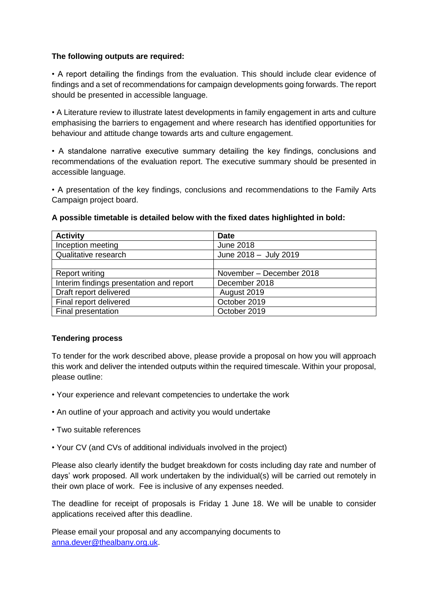#### **The following outputs are required:**

• A report detailing the findings from the evaluation. This should include clear evidence of findings and a set of recommendations for campaign developments going forwards. The report should be presented in accessible language.

• A Literature review to illustrate latest developments in family engagement in arts and culture emphasising the barriers to engagement and where research has identified opportunities for behaviour and attitude change towards arts and culture engagement.

• A standalone narrative executive summary detailing the key findings, conclusions and recommendations of the evaluation report. The executive summary should be presented in accessible language.

• A presentation of the key findings, conclusions and recommendations to the Family Arts Campaign project board.

| <b>Activity</b>                          | <b>Date</b>              |
|------------------------------------------|--------------------------|
| Inception meeting                        | <b>June 2018</b>         |
| Qualitative research                     | June 2018 - July 2019    |
|                                          |                          |
| <b>Report writing</b>                    | November - December 2018 |
| Interim findings presentation and report | December 2018            |
| Draft report delivered                   | August 2019              |
| Final report delivered                   | October 2019             |
| Final presentation                       | October 2019             |

#### **A possible timetable is detailed below with the fixed dates highlighted in bold:**

#### **Tendering process**

To tender for the work described above, please provide a proposal on how you will approach this work and deliver the intended outputs within the required timescale. Within your proposal, please outline:

- Your experience and relevant competencies to undertake the work
- An outline of your approach and activity you would undertake
- Two suitable references
- Your CV (and CVs of additional individuals involved in the project)

Please also clearly identify the budget breakdown for costs including day rate and number of days' work proposed. All work undertaken by the individual(s) will be carried out remotely in their own place of work. Fee is inclusive of any expenses needed.

The deadline for receipt of proposals is Friday 1 June 18. We will be unable to consider applications received after this deadline.

Please email your proposal and any accompanying documents to [anna.dever@thealbany.org.uk.](mailto:anna.dever@thealbany.org.uk)